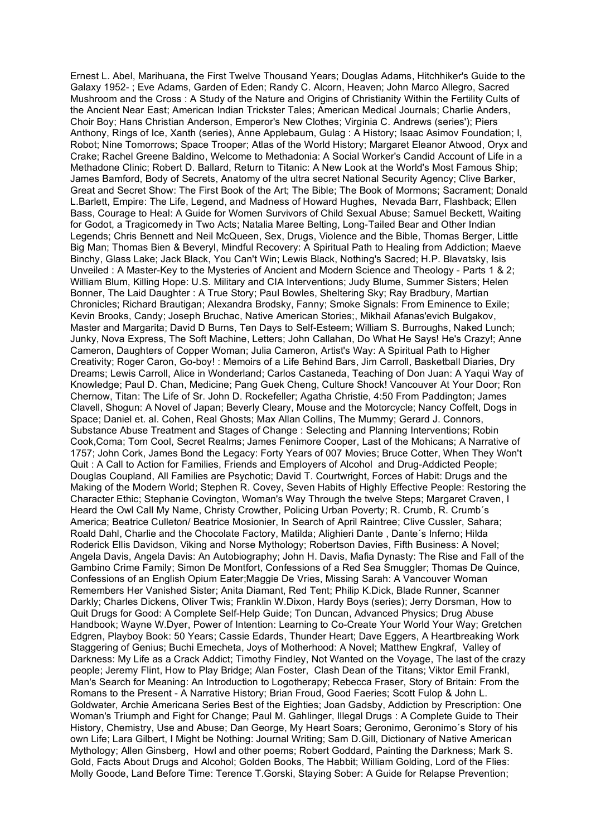Ernest L. Abel, Marihuana, the First Twelve Thousand Years; Douglas Adams, Hitchhiker's Guide to the Galaxy 1952- ; Eve Adams, Garden of Eden; Randy C. Alcorn, Heaven; John Marco Allegro, Sacred Mushroom and the Cross : A Study of the Nature and Origins of Christianity Within the Fertility Cults of the Ancient Near East; American Indian Trickster Tales; American Medical Journals; Charlie Anders, Choir Boy; Hans Christian Anderson, Emperor's New Clothes; Virginia C. Andrews (series'); Piers Anthony, Rings of Ice, Xanth (series), Anne Applebaum, Gulag : A History; Isaac Asimov Foundation; I, Robot; Nine Tomorrows; Space Trooper; Atlas of the World History; Margaret Eleanor Atwood, Oryx and Crake; Rachel Greene Baldino, Welcome to Methadonia: A Social Worker's Candid Account of Life in a Methadone Clinic; Robert D. Ballard, Return to Titanic: A New Look at the World's Most Famous Ship; James Bamford, Body of Secrets, Anatomy of the ultra secret National Security Agency; Clive Barker, Great and Secret Show: The First Book of the Art; The Bible; The Book of Mormons; Sacrament; Donald L.Barlett, Empire: The Life, Legend, and Madness of Howard Hughes, Nevada Barr, Flashback; Ellen Bass, Courage to Heal: A Guide for Women Survivors of Child Sexual Abuse; Samuel Beckett, Waiting for Godot, a Tragicomedy in Two Acts; Natalia Maree Belting, Long-Tailed Bear and Other Indian Legends; Chris Bennett and Neil McQueen, Sex, Drugs, Violence and the Bible, Thomas Berger, Little Big Man; Thomas Bien & Beveryl, Mindful Recovery: A Spiritual Path to Healing from Addiction; Maeve Binchy, Glass Lake; Jack Black, You Can't Win; Lewis Black, Nothing's Sacred; H.P. Blavatsky, Isis Unveiled : A Master-Key to the Mysteries of Ancient and Modern Science and Theology - Parts 1 & 2; William Blum, Killing Hope: U.S. Military and CIA Interventions; Judy Blume, Summer Sisters; Helen Bonner, The Laid Daughter : A True Story; Paul Bowles, Sheltering Sky; Ray Bradbury, Martian Chronicles; Richard Brautigan; Alexandra Brodsky, Fanny; Smoke Signals: From Eminence to Exile; Kevin Brooks, Candy; Joseph Bruchac, Native American Stories;, Mikhail Afanas'evich Bulgakov, Master and Margarita; David D Burns, Ten Days to Self-Esteem; William S. Burroughs, Naked Lunch; Junky, Nova Express, The Soft Machine, Letters; John Callahan, Do What He Says! He's Crazy!; Anne Cameron, Daughters of Copper Woman; Julia Cameron, Artist's Way: A Spiritual Path to Higher Creativity; Roger Caron, Go-boy! : Memoirs of a Life Behind Bars, Jim Carroll, Basketball Diaries, Dry Dreams; Lewis Carroll, Alice in Wonderland; Carlos Castaneda, Teaching of Don Juan: A Yaqui Way of Knowledge; Paul D. Chan, Medicine; Pang Guek Cheng, Culture Shock! Vancouver At Your Door; Ron Chernow, Titan: The Life of Sr. John D. Rockefeller; Agatha Christie, 4:50 From Paddington; James Clavell, Shogun: A Novel of Japan; Beverly Cleary, Mouse and the Motorcycle; Nancy Coffelt, Dogs in Space; Daniel et. al. Cohen, Real Ghosts; Max Allan Collins, The Mummy; Gerard J. Connors, Substance Abuse Treatment and Stages of Change : Selecting and Planning Interventions; Robin Cook,Coma; Tom Cool, Secret Realms; James Fenimore Cooper, Last of the Mohicans; A Narrative of 1757; John Cork, James Bond the Legacy: Forty Years of 007 Movies; Bruce Cotter, When They Won't Quit : A Call to Action for Families, Friends and Employers of Alcohol and Drug-Addicted People; Douglas Coupland, All Families are Psychotic; David T. Courtwright, Forces of Habit: Drugs and the Making of the Modern World; Stephen R. Covey, Seven Habits of Highly Effective People: Restoring the Character Ethic; Stephanie Covington, Woman's Way Through the twelve Steps; Margaret Craven, I Heard the Owl Call My Name, Christy Crowther, Policing Urban Poverty; R. Crumb, R. Crumb´s America; Beatrice Culleton/ Beatrice Mosionier, In Search of April Raintree; Clive Cussler, Sahara; Roald Dahl, Charlie and the Chocolate Factory, Matilda; Alighieri Dante , Dante´s Inferno; Hilda Roderick Ellis Davidson, Viking and Norse Mythology; Robertson Davies, Fifth Business: A Novel; Angela Davis, Angela Davis: An Autobiography; John H. Davis, Mafia Dynasty: The Rise and Fall of the Gambino Crime Family; Simon De Montfort, Confessions of a Red Sea Smuggler; Thomas De Quince, Confessions of an English Opium Eater;Maggie De Vries, Missing Sarah: A Vancouver Woman Remembers Her Vanished Sister; Anita Diamant, Red Tent; Philip K.Dick, Blade Runner, Scanner Darkly; Charles Dickens, Oliver Twis; Franklin W.Dixon, Hardy Boys (series); Jerry Dorsman, How to Quit Drugs for Good: A Complete Self-Help Guide; Ton Duncan, Advanced Physics; Drug Abuse Handbook; Wayne W.Dyer, Power of Intention: Learning to Co-Create Your World Your Way; Gretchen Edgren, Playboy Book: 50 Years; Cassie Edards, Thunder Heart; Dave Eggers, A Heartbreaking Work Staggering of Genius; Buchi Emecheta, Joys of Motherhood: A Novel; Matthew Engkraf, Valley of Darkness: My Life as a Crack Addict; Timothy Findley, Not Wanted on the Voyage, The last of the crazy people; Jeremy Flint, How to Play Bridge; Alan Foster, Clash Dean of the Titans; Viktor Emil Frankl, Man's Search for Meaning: An Introduction to Logotherapy; Rebecca Fraser, Story of Britain: From the Romans to the Present - A Narrative History; Brian Froud, Good Faeries; Scott Fulop & John L. Goldwater, Archie Americana Series Best of the Eighties; Joan Gadsby, Addiction by Prescription: One Woman's Triumph and Fight for Change; Paul M. Gahlinger, Illegal Drugs : A Complete Guide to Their History, Chemistry, Use and Abuse; Dan George, My Heart Soars; Geronimo, Geronimo´s Story of his own Life; Lara Gilbert, I Might be Nothing: Journal Writing; Sam D.Gill, Dictionary of Native American Mythology; Allen Ginsberg, Howl and other poems; Robert Goddard, Painting the Darkness; Mark S. Gold, Facts About Drugs and Alcohol; Golden Books, The Habbit; William Golding, Lord of the Flies: Molly Goode, Land Before Time: Terence T.Gorski, Staying Sober: A Guide for Relapse Prevention;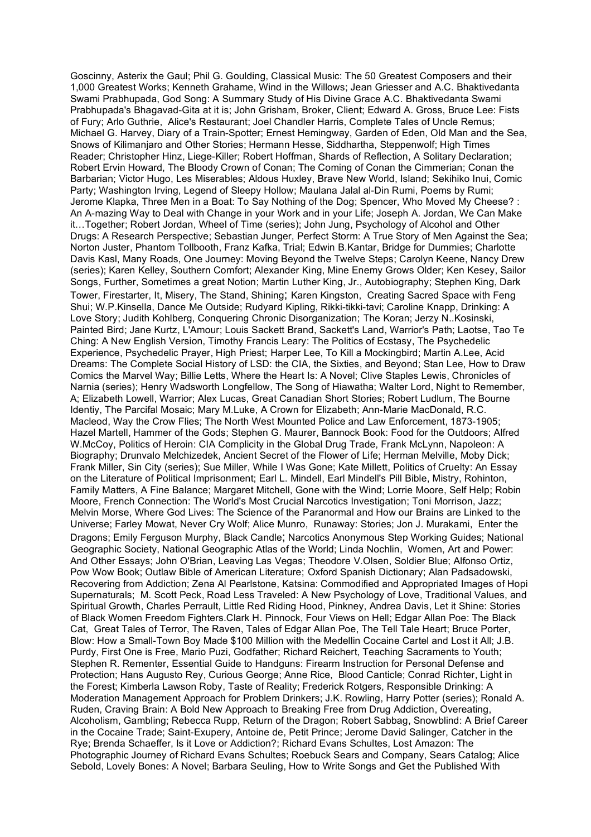Goscinny, Asterix the Gaul; Phil G. Goulding, Classical Music: The 50 Greatest Composers and their 1,000 Greatest Works; Kenneth Grahame, Wind in the Willows; Jean Griesser and A.C. Bhaktivedanta Swami Prabhupada, God Song: A Summary Study of His Divine Grace A.C. Bhaktivedanta Swami Prabhupada's Bhagavad-Gita at it is; John Grisham, Broker, Client; Edward A. Gross, Bruce Lee: Fists of Fury; Arlo Guthrie, Alice's Restaurant; Joel Chandler Harris, Complete Tales of Uncle Remus; Michael G. Harvey, Diary of a Train-Spotter; Ernest Hemingway, Garden of Eden, Old Man and the Sea, Snows of Kilimanjaro and Other Stories; Hermann Hesse, Siddhartha, Steppenwolf; High Times Reader; Christopher Hinz, Liege-Killer; Robert Hoffman, Shards of Reflection, A Solitary Declaration; Robert Ervin Howard, The Bloody Crown of Conan; The Coming of Conan the Cimmerian; Conan the Barbarian; Victor Hugo, Les Miserables; Aldous Huxley, Brave New World, Island; Sekihiko Inui, Comic Party; Washington Irving, Legend of Sleepy Hollow; Maulana Jalal al-Din Rumi, Poems by Rumi; Jerome Klapka, Three Men in a Boat: To Say Nothing of the Dog; Spencer, Who Moved My Cheese? : An A-mazing Way to Deal with Change in your Work and in your Life; Joseph A. Jordan, We Can Make it…Together; Robert Jordan, Wheel of Time (series); John Jung, Psychology of Alcohol and Other Drugs: A Research Perspective; Sebastian Junger, Perfect Storm: A True Story of Men Against the Sea; Norton Juster, Phantom Tollbooth, Franz Kafka, Trial; Edwin B.Kantar, Bridge for Dummies; Charlotte Davis Kasl, Many Roads, One Journey: Moving Beyond the Twelve Steps; Carolyn Keene, Nancy Drew (series); Karen Kelley, Southern Comfort; Alexander King, Mine Enemy Grows Older; Ken Kesey, Sailor Songs, Further, Sometimes a great Notion; Martin Luther King, Jr., Autobiography; Stephen King, Dark Tower, Firestarter, It, Misery, The Stand, Shining; Karen Kingston, Creating Sacred Space with Feng Shui; W.P.Kinsella, Dance Me Outside; Rudyard Kipling, Rikki-tikki-tavi; Caroline Knapp, Drinking: A Love Story; Judith Kohlberg, Conquering Chronic Disorganization; The Koran; Jerzy N..Kosinski, Painted Bird; Jane Kurtz, L'Amour; Louis Sackett Brand, Sackett's Land, Warrior's Path; Laotse, Tao Te Ching: A New English Version, Timothy Francis Leary: The Politics of Ecstasy, The Psychedelic Experience, Psychedelic Prayer, High Priest; Harper Lee, To Kill a Mockingbird; Martin A.Lee, Acid Dreams: The Complete Social History of LSD: the CIA, the Sixties, and Beyond; Stan Lee, How to Draw Comics the Marvel Way; Billie Letts, Where the Heart Is: A Novel; Clive Staples Lewis, Chronicles of Narnia (series); Henry Wadsworth Longfellow, The Song of Hiawatha; Walter Lord, Night to Remember, A; Elizabeth Lowell, Warrior; Alex Lucas, Great Canadian Short Stories; Robert Ludlum, The Bourne Identiy, The Parcifal Mosaic; Mary M.Luke, A Crown for Elizabeth; Ann-Marie MacDonald, R.C. Macleod, Way the Crow Flies; The North West Mounted Police and Law Enforcement, 1873-1905; Hazel Martell, Hammer of the Gods; Stephen G. Maurer, Bannock Book: Food for the Outdoors; Alfred W.McCoy, Politics of Heroin: CIA Complicity in the Global Drug Trade, Frank McLynn, Napoleon: A Biography; Drunvalo Melchizedek, Ancient Secret of the Flower of Life; Herman Melville, Moby Dick; Frank Miller, Sin City (series); Sue Miller, While I Was Gone; Kate Millett, Politics of Cruelty: An Essay on the Literature of Political Imprisonment; Earl L. Mindell, Earl Mindell's Pill Bible, Mistry, Rohinton, Family Matters, A Fine Balance; Margaret Mitchell, Gone with the Wind; Lorrie Moore, Self Help; Robin Moore, French Connection: The World's Most Crucial Narcotics Investigation; Toni Morrison, Jazz; Melvin Morse, Where God Lives: The Science of the Paranormal and How our Brains are Linked to the Universe; Farley Mowat, Never Cry Wolf; Alice Munro, Runaway: Stories; Jon J. Murakami, Enter the Dragons; Emily Ferguson Murphy, Black Candle; Narcotics Anonymous Step Working Guides; National Geographic Society, National Geographic Atlas of the World; Linda Nochlin, Women, Art and Power: And Other Essays; John O'Brian, Leaving Las Vegas; Theodore V.Olsen, Soldier Blue; Alfonso Ortiz, Pow Wow Book; Outlaw Bible of American Literature; Oxford Spanish Dictionary; Alan Padsadowski, Recovering from Addiction; Zena Al Pearlstone, Katsina: Commodified and Appropriated Images of Hopi Supernaturals; M. Scott Peck, Road Less Traveled: A New Psychology of Love, Traditional Values, and Spiritual Growth, Charles Perrault, Little Red Riding Hood, Pinkney, Andrea Davis, Let it Shine: Stories of Black Women Freedom Fighters.Clark H. Pinnock, Four Views on Hell; Edgar Allan Poe: The Black Cat, Great Tales of Terror, The Raven, Tales of Edgar Allan Poe, The Tell Tale Heart; Bruce Porter, Blow: How a Small-Town Boy Made \$100 Million with the Medellin Cocaine Cartel and Lost it All; J.B. Purdy, First One is Free, Mario Puzi, Godfather; Richard Reichert, Teaching Sacraments to Youth; Stephen R. Rementer, Essential Guide to Handguns: Firearm Instruction for Personal Defense and Protection; Hans Augusto Rey, Curious George; Anne Rice, Blood Canticle; Conrad Richter, Light in the Forest; Kimberla Lawson Roby, Taste of Reality; Frederick Rotgers, Responsible Drinking: A Moderation Management Approach for Problem Drinkers; J.K. Rowling, Harry Potter (series); Ronald A. Ruden, Craving Brain: A Bold New Approach to Breaking Free from Drug Addiction, Overeating, Alcoholism, Gambling; Rebecca Rupp, Return of the Dragon; Robert Sabbag, Snowblind: A Brief Career in the Cocaine Trade; Saint-Exupery, Antoine de, Petit Prince; Jerome David Salinger, Catcher in the Rye; Brenda Schaeffer, Is it Love or Addiction?; Richard Evans Schultes, Lost Amazon: The Photographic Journey of Richard Evans Schultes; Roebuck Sears and Company, Sears Catalog; Alice Sebold, Lovely Bones: A Novel; Barbara Seuling, How to Write Songs and Get the Published With